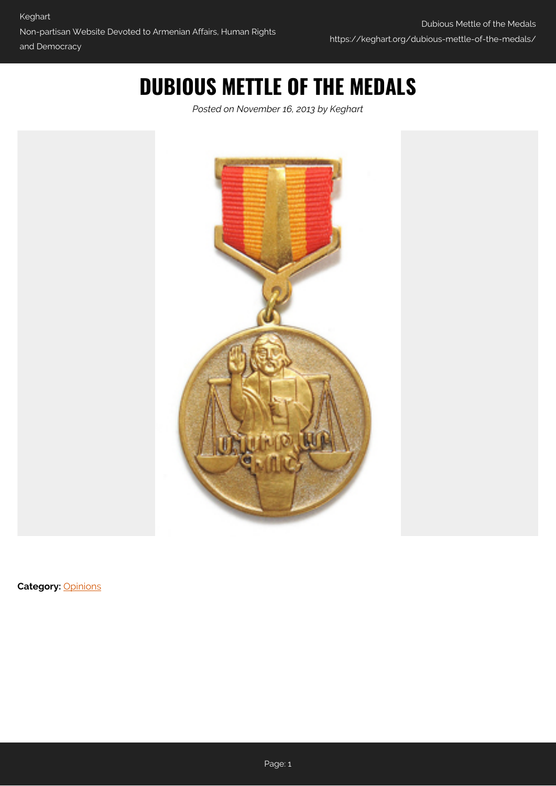## **DUBIOUS METTLE OF THE MEDALS**

*Posted on November 16, 2013 by Keghart*



**Category:** [Opinions](https://keghart.org/category/opinions/)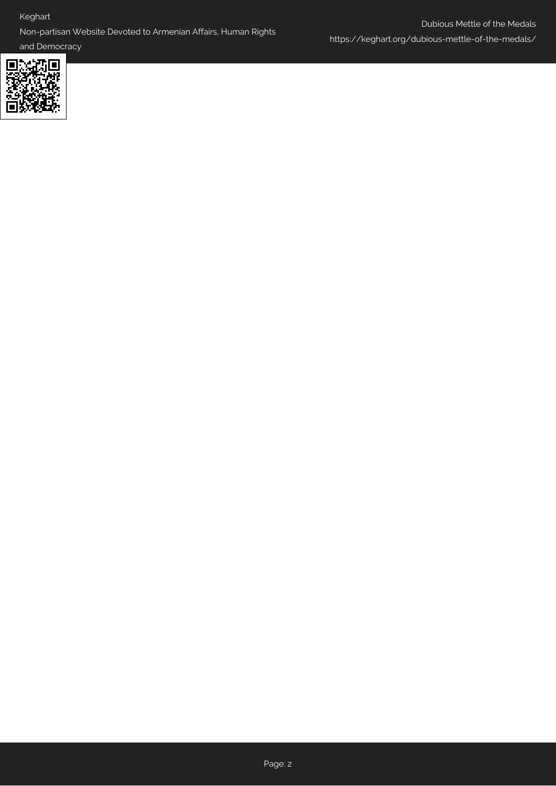Non-partisan Website Devoted to Armenian Affairs, Human Rights

and Democracy

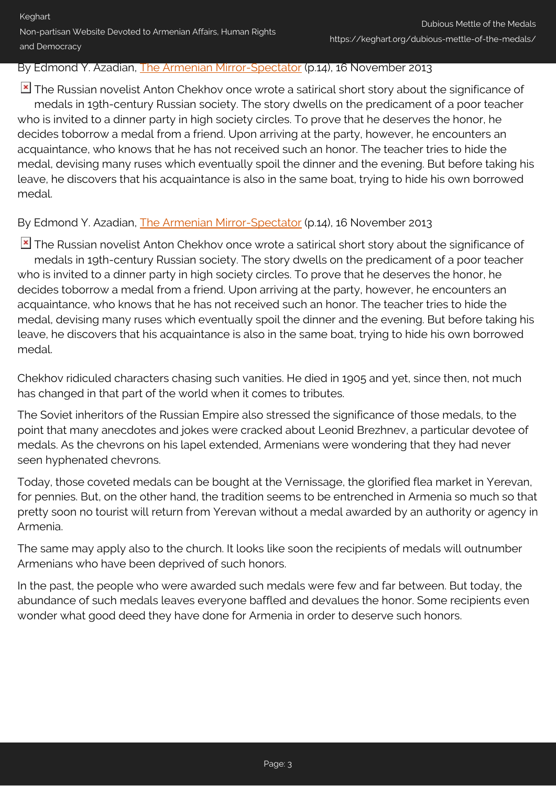Keghart Non-partisan Website Devoted to Armenian Affairs, Human Rights and Democracy

## By Edmond Y. Azadian, [The Armenian Mirror-Spectator](http://www.mirrorspectator.com/pdf/111613.pdf) (p.14), 16 November 2013

**E** The Russian novelist Anton Chekhov once wrote a satirical short story about the significance of medals in 19th-century Russian society. The story dwells on the predicament of a poor teacher who is invited to a dinner party in high society circles. To prove that he deserves the honor, he decides toborrow a medal from a friend. Upon arriving at the party, however, he encounters an acquaintance, who knows that he has not received such an honor. The teacher tries to hide the medal, devising many ruses which eventually spoil the dinner and the evening. But before taking his leave, he discovers that his acquaintance is also in the same boat, trying to hide his own borrowed medal.

By Edmond Y. Azadian, [The Armenian Mirror-Spectator](http://www.mirrorspectator.com/pdf/111613.pdf) (p.14), 16 November 2013

 $\geq$  The Russian novelist Anton Chekhov once wrote a satirical short story about the significance of medals in 19th-century Russian society. The story dwells on the predicament of a poor teacher who is invited to a dinner party in high society circles. To prove that he deserves the honor, he decides toborrow a medal from a friend. Upon arriving at the party, however, he encounters an acquaintance, who knows that he has not received such an honor. The teacher tries to hide the medal, devising many ruses which eventually spoil the dinner and the evening. But before taking his leave, he discovers that his acquaintance is also in the same boat, trying to hide his own borrowed medal.

Chekhov ridiculed characters chasing such vanities. He died in 1905 and yet, since then, not much has changed in that part of the world when it comes to tributes.

The Soviet inheritors of the Russian Empire also stressed the significance of those medals, to the point that many anecdotes and jokes were cracked about Leonid Brezhnev, a particular devotee of medals. As the chevrons on his lapel extended, Armenians were wondering that they had never seen hyphenated chevrons.

Today, those coveted medals can be bought at the Vernissage, the glorified flea market in Yerevan, for pennies. But, on the other hand, the tradition seems to be entrenched in Armenia so much so that pretty soon no tourist will return from Yerevan without a medal awarded by an authority or agency in Armenia.

The same may apply also to the church. It looks like soon the recipients of medals will outnumber Armenians who have been deprived of such honors.

In the past, the people who were awarded such medals were few and far between. But today, the abundance of such medals leaves everyone baffled and devalues the honor. Some recipients even wonder what good deed they have done for Armenia in order to deserve such honors.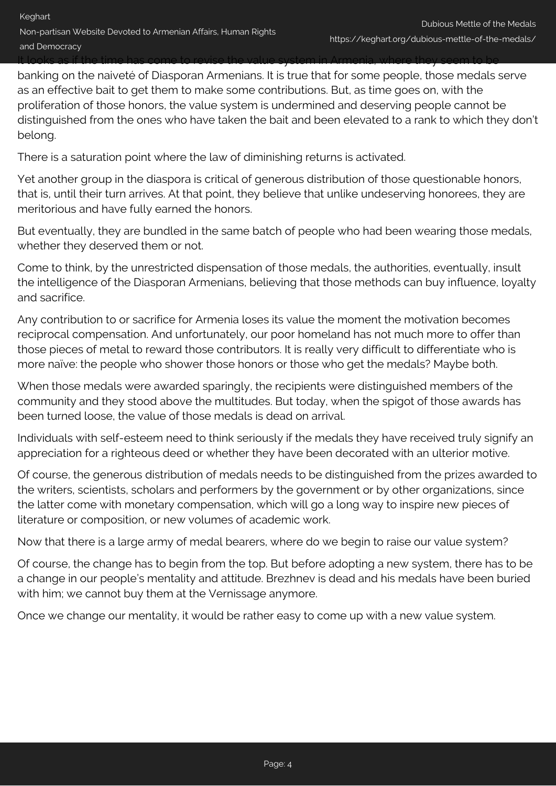It looks as if the time has come to revise the value system in Armenia, where they seem to be banking on the naiveté of Diasporan Armenians. It is true that for some people, those medals serve as an effective bait to get them to make some contributions. But, as time goes on, with the proliferation of those honors, the value system is undermined and deserving people cannot be distinguished from the ones who have taken the bait and been elevated to a rank to which they don't belong.

There is a saturation point where the law of diminishing returns is activated.

Yet another group in the diaspora is critical of generous distribution of those questionable honors, that is, until their turn arrives. At that point, they believe that unlike undeserving honorees, they are meritorious and have fully earned the honors.

But eventually, they are bundled in the same batch of people who had been wearing those medals, whether they deserved them or not.

Come to think, by the unrestricted dispensation of those medals, the authorities, eventually, insult the intelligence of the Diasporan Armenians, believing that those methods can buy influence, loyalty and sacrifice.

Any contribution to or sacrifice for Armenia loses its value the moment the motivation becomes reciprocal compensation. And unfortunately, our poor homeland has not much more to offer than those pieces of metal to reward those contributors. It is really very difficult to differentiate who is more naïve: the people who shower those honors or those who get the medals? Maybe both.

When those medals were awarded sparingly, the recipients were distinguished members of the community and they stood above the multitudes. But today, when the spigot of those awards has been turned loose, the value of those medals is dead on arrival.

Individuals with self-esteem need to think seriously if the medals they have received truly signify an appreciation for a righteous deed or whether they have been decorated with an ulterior motive.

Of course, the generous distribution of medals needs to be distinguished from the prizes awarded to the writers, scientists, scholars and performers by the government or by other organizations, since the latter come with monetary compensation, which will go a long way to inspire new pieces of literature or composition, or new volumes of academic work.

Now that there is a large army of medal bearers, where do we begin to raise our value system?

Of course, the change has to begin from the top. But before adopting a new system, there has to be a change in our people's mentality and attitude. Brezhnev is dead and his medals have been buried with him; we cannot buy them at the Vernissage anymore.

Once we change our mentality, it would be rather easy to come up with a new value system.